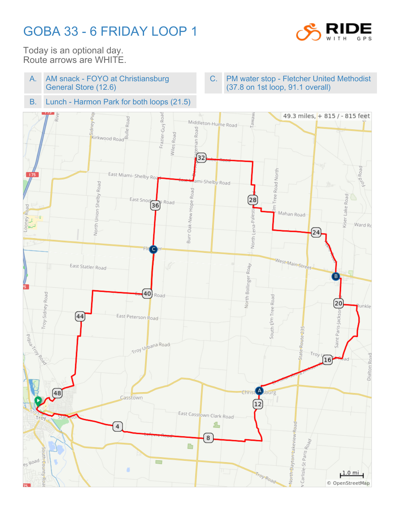## GOBA 33 - 6 FRIDAY LOOP 1



Today is an optional day. Route arrows are WHITE.